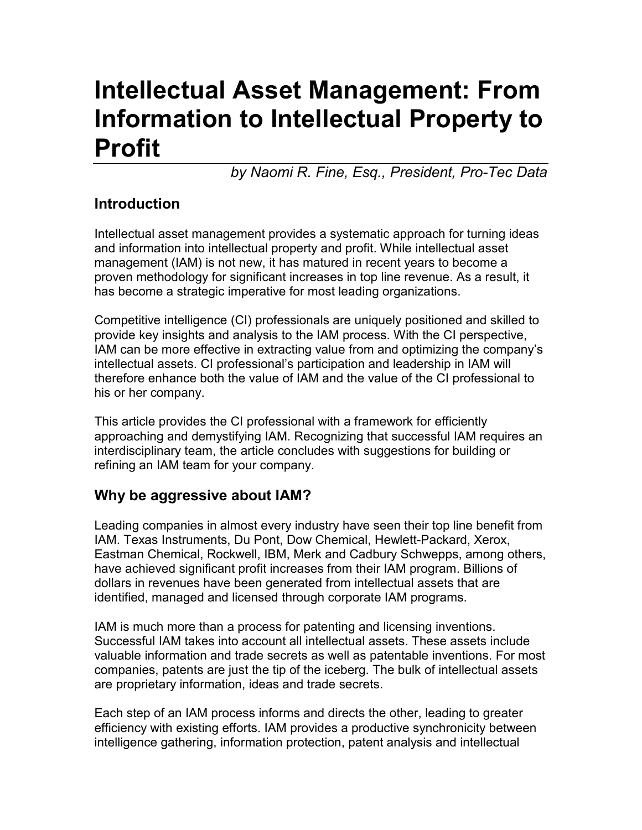# **Intellectual Asset Management: From Information to Intellectual Property to Profit**

*by Naomi R. Fine, Esq., President, Pro-Tec Data*

### **Introduction**

Intellectual asset management provides a systematic approach for turning ideas and information into intellectual property and profit. While intellectual asset management (IAM) is not new, it has matured in recent years to become a proven methodology for significant increases in top line revenue. As a result, it has become a strategic imperative for most leading organizations.

Competitive intelligence (CI) professionals are uniquely positioned and skilled to provide key insights and analysis to the IAM process. With the CI perspective, IAM can be more effective in extracting value from and optimizing the company's intellectual assets. CI professional's participation and leadership in IAM will therefore enhance both the value of IAM and the value of the CI professional to his or her company.

This article provides the CI professional with a framework for efficiently approaching and demystifying IAM. Recognizing that successful IAM requires an interdisciplinary team, the article concludes with suggestions for building or refining an IAM team for your company.

#### **Why be aggressive about IAM?**

Leading companies in almost every industry have seen their top line benefit from IAM. Texas Instruments, Du Pont, Dow Chemical, Hewlett-Packard, Xerox, Eastman Chemical, Rockwell, IBM, Merk and Cadbury Schwepps, among others, have achieved significant profit increases from their IAM program. Billions of dollars in revenues have been generated from intellectual assets that are identified, managed and licensed through corporate IAM programs.

IAM is much more than a process for patenting and licensing inventions. Successful IAM takes into account all intellectual assets. These assets include valuable information and trade secrets as well as patentable inventions. For most companies, patents are just the tip of the iceberg. The bulk of intellectual assets are proprietary information, ideas and trade secrets.

Each step of an IAM process informs and directs the other, leading to greater efficiency with existing efforts. IAM provides a productive synchronicity between intelligence gathering, information protection, patent analysis and intellectual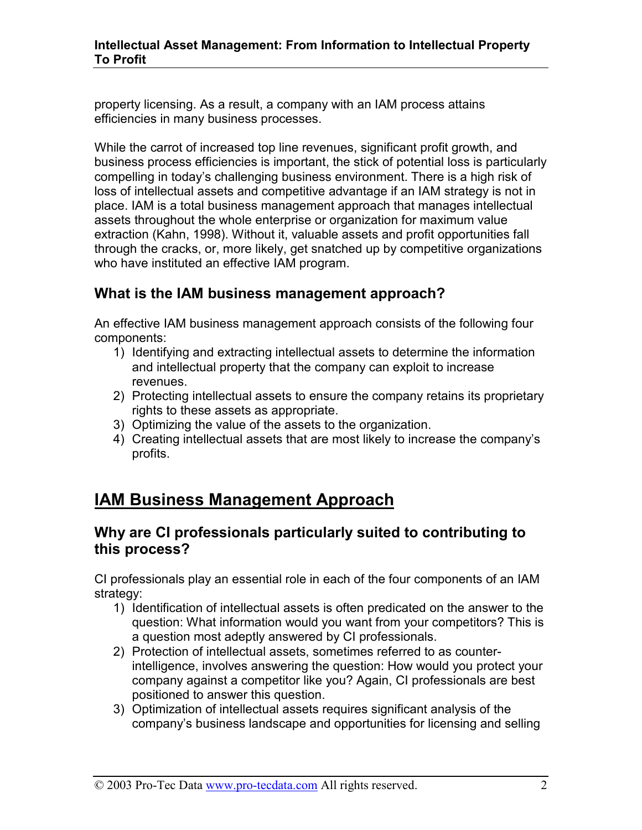property licensing. As a result, a company with an IAM process attains efficiencies in many business processes.

While the carrot of increased top line revenues, significant profit growth, and business process efficiencies is important, the stick of potential loss is particularly compelling in today's challenging business environment. There is a high risk of loss of intellectual assets and competitive advantage if an IAM strategy is not in place. IAM is a total business management approach that manages intellectual assets throughout the whole enterprise or organization for maximum value extraction (Kahn, 1998). Without it, valuable assets and profit opportunities fall through the cracks, or, more likely, get snatched up by competitive organizations who have instituted an effective IAM program.

#### **What is the IAM business management approach?**

An effective IAM business management approach consists of the following four components:

- 1) Identifying and extracting intellectual assets to determine the information and intellectual property that the company can exploit to increase revenues.
- 2) Protecting intellectual assets to ensure the company retains its proprietary rights to these assets as appropriate.
- 3) Optimizing the value of the assets to the organization.
- 4) Creating intellectual assets that are most likely to increase the company's profits.

## **IAM Business Management Approach**

#### **Why are CI professionals particularly suited to contributing to this process?**

CI professionals play an essential role in each of the four components of an IAM strategy:

- 1) Identification of intellectual assets is often predicated on the answer to the question: What information would you want from your competitors? This is a question most adeptly answered by CI professionals.
- 2) Protection of intellectual assets, sometimes referred to as counterintelligence, involves answering the question: How would you protect your company against a competitor like you? Again, CI professionals are best positioned to answer this question.
- 3) Optimization of intellectual assets requires significant analysis of the company's business landscape and opportunities for licensing and selling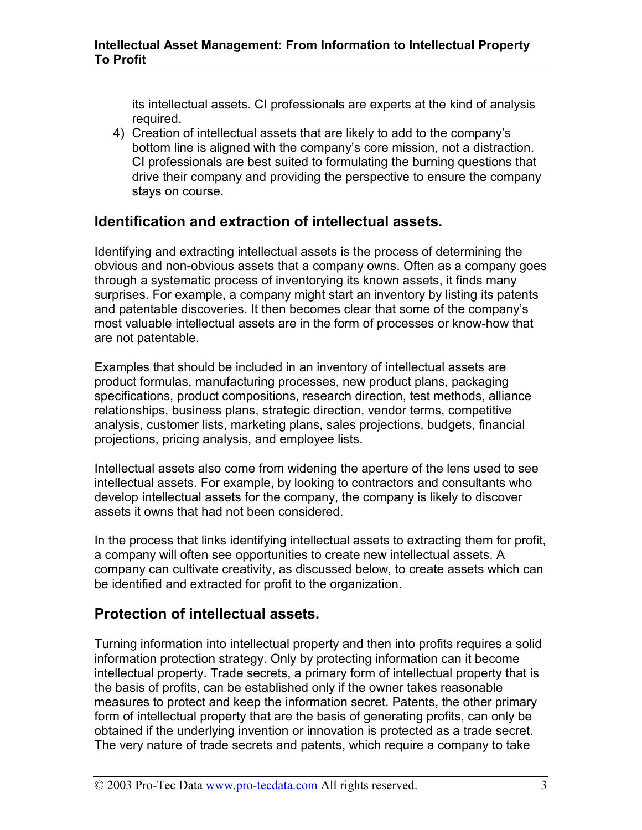its intellectual assets. CI professionals are experts at the kind of analysis required.

4) Creation of intellectual assets that are likely to add to the company's bottom line is aligned with the company's core mission, not a distraction. CI professionals are best suited to formulating the burning questions that drive their company and providing the perspective to ensure the company stays on course.

#### **Identification and extraction of intellectual assets.**

Identifying and extracting intellectual assets is the process of determining the obvious and non-obvious assets that a company owns. Often as a company goes through a systematic process of inventorying its known assets, it finds many surprises. For example, a company might start an inventory by listing its patents and patentable discoveries. It then becomes clear that some of the company's most valuable intellectual assets are in the form of processes or know-how that are not patentable.

Examples that should be included in an inventory of intellectual assets are product formulas, manufacturing processes, new product plans, packaging specifications, product compositions, research direction, test methods, alliance relationships, business plans, strategic direction, vendor terms, competitive analysis, customer lists, marketing plans, sales projections, budgets, financial projections, pricing analysis, and employee lists.

Intellectual assets also come from widening the aperture of the lens used to see intellectual assets. For example, by looking to contractors and consultants who develop intellectual assets for the company, the company is likely to discover assets it owns that had not been considered.

In the process that links identifying intellectual assets to extracting them for profit, a company will often see opportunities to create new intellectual assets. A company can cultivate creativity, as discussed below, to create assets which can be identified and extracted for profit to the organization.

#### **Protection of intellectual assets.**

Turning information into intellectual property and then into profits requires a solid information protection strategy. Only by protecting information can it become intellectual property. Trade secrets, a primary form of intellectual property that is the basis of profits, can be established only if the owner takes reasonable measures to protect and keep the information secret. Patents, the other primary form of intellectual property that are the basis of generating profits, can only be obtained if the underlying invention or innovation is protected as a trade secret. The very nature of trade secrets and patents, which require a company to take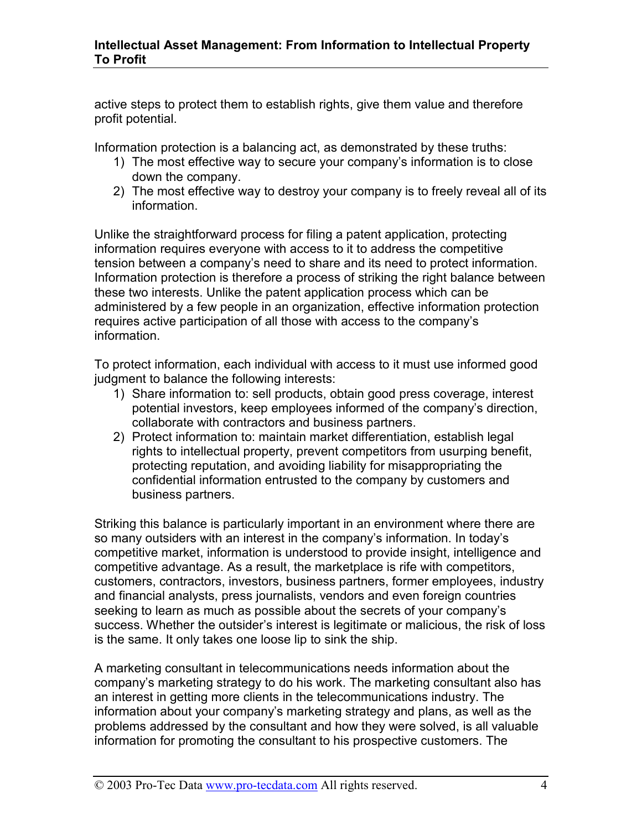active steps to protect them to establish rights, give them value and therefore profit potential.

Information protection is a balancing act, as demonstrated by these truths:

- 1) The most effective way to secure your company's information is to close down the company.
- 2) The most effective way to destroy your company is to freely reveal all of its information.

Unlike the straightforward process for filing a patent application, protecting information requires everyone with access to it to address the competitive tension between a company's need to share and its need to protect information. Information protection is therefore a process of striking the right balance between these two interests. Unlike the patent application process which can be administered by a few people in an organization, effective information protection requires active participation of all those with access to the company's information.

To protect information, each individual with access to it must use informed good judgment to balance the following interests:

- 1) Share information to: sell products, obtain good press coverage, interest potential investors, keep employees informed of the company's direction, collaborate with contractors and business partners.
- 2) Protect information to: maintain market differentiation, establish legal rights to intellectual property, prevent competitors from usurping benefit, protecting reputation, and avoiding liability for misappropriating the confidential information entrusted to the company by customers and business partners.

Striking this balance is particularly important in an environment where there are so many outsiders with an interest in the company's information. In today's competitive market, information is understood to provide insight, intelligence and competitive advantage. As a result, the marketplace is rife with competitors, customers, contractors, investors, business partners, former employees, industry and financial analysts, press journalists, vendors and even foreign countries seeking to learn as much as possible about the secrets of your company's success. Whether the outsider's interest is legitimate or malicious, the risk of loss is the same. It only takes one loose lip to sink the ship.

A marketing consultant in telecommunications needs information about the company's marketing strategy to do his work. The marketing consultant also has an interest in getting more clients in the telecommunications industry. The information about your company's marketing strategy and plans, as well as the problems addressed by the consultant and how they were solved, is all valuable information for promoting the consultant to his prospective customers. The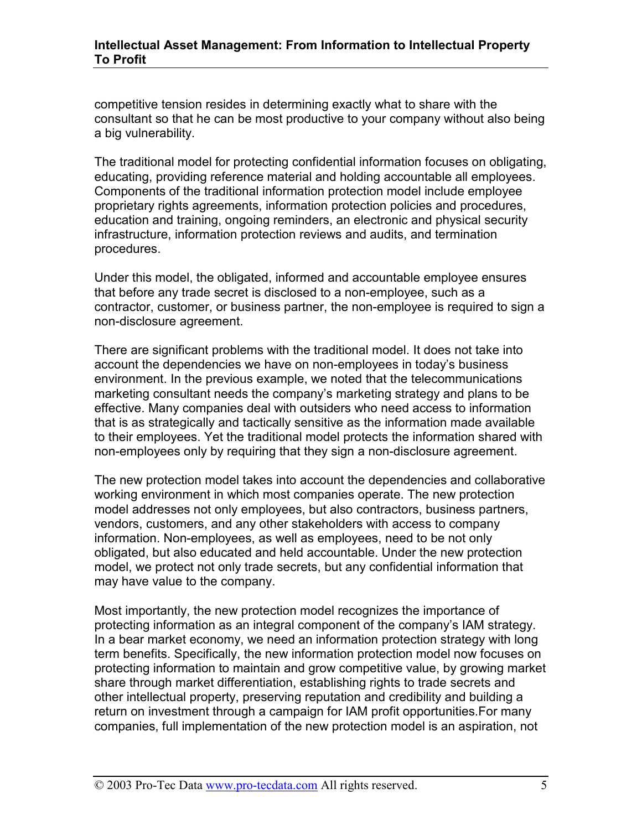competitive tension resides in determining exactly what to share with the consultant so that he can be most productive to your company without also being a big vulnerability.

The traditional model for protecting confidential information focuses on obligating, educating, providing reference material and holding accountable all employees. Components of the traditional information protection model include employee proprietary rights agreements, information protection policies and procedures, education and training, ongoing reminders, an electronic and physical security infrastructure, information protection reviews and audits, and termination procedures.

Under this model, the obligated, informed and accountable employee ensures that before any trade secret is disclosed to a non-employee, such as a contractor, customer, or business partner, the non-employee is required to sign a non-disclosure agreement.

There are significant problems with the traditional model. It does not take into account the dependencies we have on non-employees in today's business environment. In the previous example, we noted that the telecommunications marketing consultant needs the company's marketing strategy and plans to be effective. Many companies deal with outsiders who need access to information that is as strategically and tactically sensitive as the information made available to their employees. Yet the traditional model protects the information shared with non-employees only by requiring that they sign a non-disclosure agreement.

The new protection model takes into account the dependencies and collaborative working environment in which most companies operate. The new protection model addresses not only employees, but also contractors, business partners, vendors, customers, and any other stakeholders with access to company information. Non-employees, as well as employees, need to be not only obligated, but also educated and held accountable. Under the new protection model, we protect not only trade secrets, but any confidential information that may have value to the company.

Most importantly, the new protection model recognizes the importance of protecting information as an integral component of the company's IAM strategy. In a bear market economy, we need an information protection strategy with long term benefits. Specifically, the new information protection model now focuses on protecting information to maintain and grow competitive value, by growing market share through market differentiation, establishing rights to trade secrets and other intellectual property, preserving reputation and credibility and building a return on investment through a campaign for IAM profit opportunities.For many companies, full implementation of the new protection model is an aspiration, not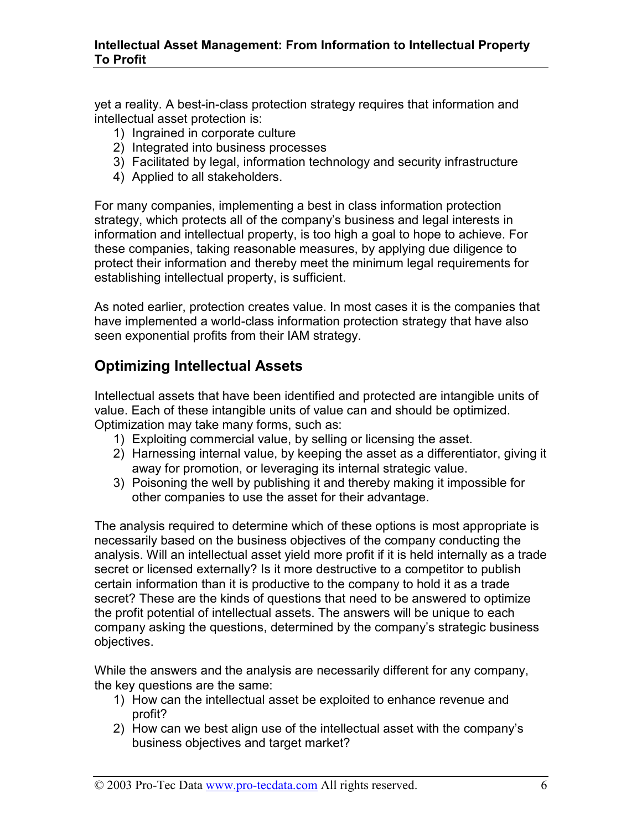yet a reality. A best-in-class protection strategy requires that information and intellectual asset protection is:

- 1) Ingrained in corporate culture
- 2) Integrated into business processes
- 3) Facilitated by legal, information technology and security infrastructure
- 4) Applied to all stakeholders.

For many companies, implementing a best in class information protection strategy, which protects all of the company's business and legal interests in information and intellectual property, is too high a goal to hope to achieve. For these companies, taking reasonable measures, by applying due diligence to protect their information and thereby meet the minimum legal requirements for establishing intellectual property, is sufficient.

As noted earlier, protection creates value. In most cases it is the companies that have implemented a world-class information protection strategy that have also seen exponential profits from their IAM strategy.

#### **Optimizing Intellectual Assets**

Intellectual assets that have been identified and protected are intangible units of value. Each of these intangible units of value can and should be optimized. Optimization may take many forms, such as:

- 1) Exploiting commercial value, by selling or licensing the asset.
- 2) Harnessing internal value, by keeping the asset as a differentiator, giving it away for promotion, or leveraging its internal strategic value.
- 3) Poisoning the well by publishing it and thereby making it impossible for other companies to use the asset for their advantage.

The analysis required to determine which of these options is most appropriate is necessarily based on the business objectives of the company conducting the analysis. Will an intellectual asset yield more profit if it is held internally as a trade secret or licensed externally? Is it more destructive to a competitor to publish certain information than it is productive to the company to hold it as a trade secret? These are the kinds of questions that need to be answered to optimize the profit potential of intellectual assets. The answers will be unique to each company asking the questions, determined by the company's strategic business objectives.

While the answers and the analysis are necessarily different for any company, the key questions are the same:

- 1) How can the intellectual asset be exploited to enhance revenue and profit?
- 2) How can we best align use of the intellectual asset with the company's business objectives and target market?

© 2003 Pro-Tec Data www.pro-tecdata.com All rights reserved. 6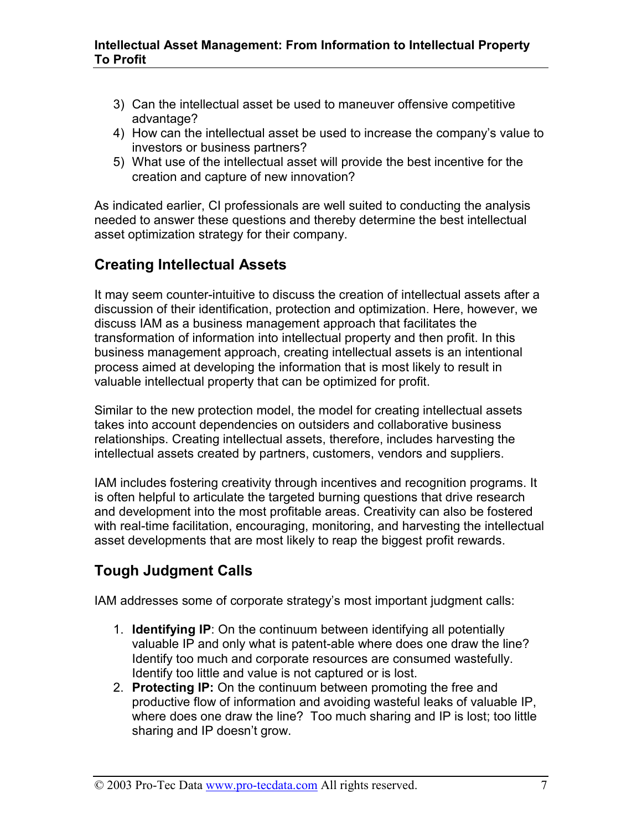- 3) Can the intellectual asset be used to maneuver offensive competitive advantage?
- 4) How can the intellectual asset be used to increase the company's value to investors or business partners?
- 5) What use of the intellectual asset will provide the best incentive for the creation and capture of new innovation?

As indicated earlier, CI professionals are well suited to conducting the analysis needed to answer these questions and thereby determine the best intellectual asset optimization strategy for their company.

#### **Creating Intellectual Assets**

It may seem counter-intuitive to discuss the creation of intellectual assets after a discussion of their identification, protection and optimization. Here, however, we discuss IAM as a business management approach that facilitates the transformation of information into intellectual property and then profit. In this business management approach, creating intellectual assets is an intentional process aimed at developing the information that is most likely to result in valuable intellectual property that can be optimized for profit.

Similar to the new protection model, the model for creating intellectual assets takes into account dependencies on outsiders and collaborative business relationships. Creating intellectual assets, therefore, includes harvesting the intellectual assets created by partners, customers, vendors and suppliers.

IAM includes fostering creativity through incentives and recognition programs. It is often helpful to articulate the targeted burning questions that drive research and development into the most profitable areas. Creativity can also be fostered with real-time facilitation, encouraging, monitoring, and harvesting the intellectual asset developments that are most likely to reap the biggest profit rewards.

#### **Tough Judgment Calls**

IAM addresses some of corporate strategy's most important judgment calls:

- 1. **Identifying IP**: On the continuum between identifying all potentially valuable IP and only what is patent-able where does one draw the line? Identify too much and corporate resources are consumed wastefully. Identify too little and value is not captured or is lost.
- 2. **Protecting IP:** On the continuum between promoting the free and productive flow of information and avoiding wasteful leaks of valuable IP, where does one draw the line? Too much sharing and IP is lost; too little sharing and IP doesn't grow.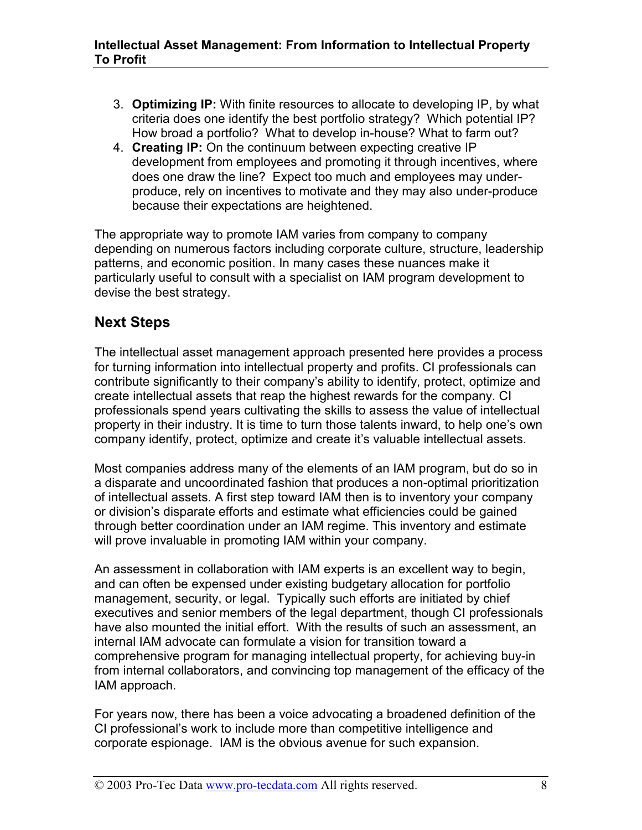- 3. **Optimizing IP:** With finite resources to allocate to developing IP, by what criteria does one identify the best portfolio strategy? Which potential IP? How broad a portfolio? What to develop in-house? What to farm out?
- 4. **Creating IP:** On the continuum between expecting creative IP development from employees and promoting it through incentives, where does one draw the line? Expect too much and employees may underproduce, rely on incentives to motivate and they may also under-produce because their expectations are heightened.

The appropriate way to promote IAM varies from company to company depending on numerous factors including corporate culture, structure, leadership patterns, and economic position. In many cases these nuances make it particularly useful to consult with a specialist on IAM program development to devise the best strategy.

#### **Next Steps**

The intellectual asset management approach presented here provides a process for turning information into intellectual property and profits. CI professionals can contribute significantly to their company's ability to identify, protect, optimize and create intellectual assets that reap the highest rewards for the company. CI professionals spend years cultivating the skills to assess the value of intellectual property in their industry. It is time to turn those talents inward, to help one's own company identify, protect, optimize and create it's valuable intellectual assets.

Most companies address many of the elements of an IAM program, but do so in a disparate and uncoordinated fashion that produces a non-optimal prioritization of intellectual assets. A first step toward IAM then is to inventory your company or division's disparate efforts and estimate what efficiencies could be gained through better coordination under an IAM regime. This inventory and estimate will prove invaluable in promoting IAM within your company.

An assessment in collaboration with IAM experts is an excellent way to begin, and can often be expensed under existing budgetary allocation for portfolio management, security, or legal. Typically such efforts are initiated by chief executives and senior members of the legal department, though CI professionals have also mounted the initial effort. With the results of such an assessment, an internal IAM advocate can formulate a vision for transition toward a comprehensive program for managing intellectual property, for achieving buy-in from internal collaborators, and convincing top management of the efficacy of the IAM approach.

For years now, there has been a voice advocating a broadened definition of the CI professional's work to include more than competitive intelligence and corporate espionage. IAM is the obvious avenue for such expansion.